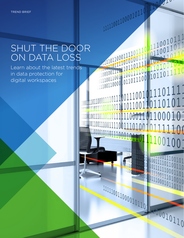# SHUT THE DOOR ON DATA LOSS

111110011000010110 1

001110011001110011110011101001010111100

 $\frac{1000111}{1011011000}$ 

 $1001$ 

 $\begin{bmatrix} 1000 & 1 \\ 1111 & 0 \\ 1101 & 0 \\ 1001 & 10 \\ 0011 & 0 \\ 0011 & 0 \\ 0011 & 0 \\ 0011 & 0 \\ 0011 & 0 \\ 0111 & 0 \\ 0111 & 1 \\ 0001 & 1 \\ 0111 & 1 \\ 0001 & 1 \\ 0111 & 1 \\ 0100 & 1 \\ 0111 & 1 \\ 0100 & 1 \\ 0111 & 1 \\ 0100 & 1 \\ 0111 & 1 \\ 0100 & 1 \\ 0111 & 1 \\ 0100 &$ 

01111011100111001101101011

 $\overline{1}110$ 

Learn about the latest trends in data protection for digital workspaces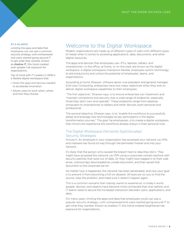## AT A GLANCE

Limiting the apps and data that employees can use was a common security strategy, until unimpressed end users started going around IT to get what they wanted. Known as shadow IT, this trend created even greater risk exposure for organizations.

Top of mind with IT Leaders in 2018 is a flexible digital workspace that:

- Hosts the apps and devices needed to accelerate innovation
- Allows users to work when, where and how they choose

# Welcome to the Digital Workspace

Modern organizations are made up of different types of users with different types of needs when it comes to accessing applications, data, documents, and other digital resources.

The apps and devices that employees use—PCs, laptops, tablets, and smartphones—in the office, at home, or on the road, are known as the *digital workspace*. A digital workspace champions flexible, employee-centric technology to aid productivity and unlock the potential of employees, teams, and organizations.

According to Sumit Dhawan, VMware senior vice president and general manager, End-User Computing, enterprises have two major objectives when they look to deliver digital workspace capabilities to their employees.

"The first objective," Dhawan says, is to ensure enterprises can implement and "maintain compliance and security over a wide range of endpoints, especially those they don't own and operate." These endpoints range from desktop computers to smartphones to tablets and other devices, both personal and professional.

The second objective, Dhawan says, is to "enable the workforce to successfully adopt and leverage new technologies as key participants in the digital transformation journey." The goal, he emphasizes, is to create a digital workspace that mirrors the experience the workforce already enjoys in their personal lives.

# The Digital Workspace Demands Sophisticated Security Strategies

Picture it. An employee in your organization has accessed your network via VPN, and malware has found its way through the perimeter firewall and into your network.

It's likely that the person who caused the breach had no idea they did it. They might have accessed the network via VPN using a corporate-owned machine with security patches that were out of date. Or they might have logged in to their web email, unknowingly downloaded an unsafe document, and then saved that document to the corporate server.

No matter how it happened, the network has been penetrated, and now your goal is to prevent it from becoming a full-on disaster. All eyes are on you to find the source, stop the problem, and make sure it doesn't happen again.

This is a common scenario that nobody wants to experience. In today's world people, devices, and objects have become more connected than ever before, and IT teams need to secure the increased interaction between users, applications, and data.

For many years, limiting the apps and data that employees could use was a popular security strategy—until unimpressed end users started going around IT to get what they wanted. Known as shadow IT, this trend created heightened risk exposure for organizations.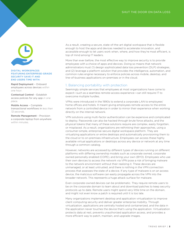

#### DIGITAL WORKSPACES FEATURING ENTERPRISE-GRADE SECURITY SAVE IT AND END USERS TIME WITH:

Rapid Deployment – Onboard employees across devices *within one hour*.

Contextual Control – Establish access policies for any app *in one place*.

Mobile Access – Complete transactional workflows in *less than 72 seconds*.

Remote Management – Provision a corporate laptop from anywhere *within minutes*.

As a result, creating a secure, state-of-the-art digital workspace that is flexible enough to host the apps and devices needed to accelerate innovation, and accessible enough to let users work when, where, and how they're most efficient, is top of mind among IT leaders.

More than ever before, the most effective way to improve security is to provide employees with a choice of apps and devices. Doing so means that network administrators must (1) design sophisticated data loss prevention (DLP) strategies, and (2) leverage a platform solution that provides the intelligence, automation, and common rules engine necessary to enforce policies across mobile, desktop, and line-of-business applications on-premises or in the cloud.

# 1. Balancing portability with protection

Seemingly simple services that employees at most organizations have come to expect—such as a seamless remote-access experience—can still require IT to overcome multiple hurdles.

VPNs were introduced in the 1990s to extend a corporate LAN to employees' home offices and hotels. It meant giving employees remote access to the entire network from a controlled device in order to mirror their experience when working directly on the internal network.

VPN solutions using multi-factor authentication can be expensive and complicated to deploy. Passwords can also be hacked through brute force attacks, and the physical tokens that many of these solutions require are complex, easily forgotten, or misplaced. As a result, organizations are rethinking their approaches, using a consumer-simple, enterprise-secure digital workspace platform. They are virtualizing applications or entire desktops and automatically provisioning them to the cloud or to on-premises infrastructure. Employees can access these highly available virtual applications or desktops across any device or network at any time through a common catalog.

However, networks are accessed by different types of devices running on different platforms with differing ownership models such as corporate owned, corporate owned personally enabled (COPE), and bring your own (BYO). Employees who use their own devices to access the network via VPN pose a risk of bringing malware to the network environment without their realizing it. These devices are unmanaged, or at least untrusted, and there is nothing in the VPN connection process that assesses the state of a device. If any type of malware is on an access device, the malicious software can easily propagate across the VPN into the broader network. This represents a huge attack surface for malware.

Even corporate-owned devices can be problematic. They require remote users to be on the corporate domain to learn about and download patches to keep security protocols up to date. Remote users might spend very little time on the domain, and might not even know a patch is required until it is too late.

Many organizations implement desktop and application virtualization to improve client computing security and deliver greater enterprise mobility. Through virtualization, applications are centrally hosted and containerized, and the data in the application never touches the device that's using the application. Virtualization protects data at rest, prevents unauthorized application access, and provides a more efficient way to patch, maintain, and upgrade images.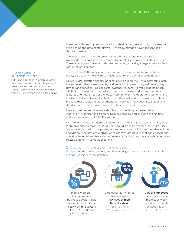However, with desktop and application virtualization, new security concerns can arise behind the data center firewall—where hundreds or even thousands of desktops reside.

These desktops sit in close proximity to other users and mission-critical workloads, making them much more susceptible to malware and other attacks. These attacks can move from desktop to server, exposing a large attack surface within the data center.

This "east-west" threat scenario is a common one affecting many customers today, particularly those with stringent security and compliance mandates.

Network virtualization enables applications to run on the virtual network exactly the same as if they were on a physical network. It presents logical networking devices and services—logical ports, switches, routers, firewalls, load balancers, VPNs, and more—to connected workloads. Virtual networks offer the same features and guarantees of a physical network with the operational benefits and hardware independence of virtualization. Thus, network virtualization is a best practice that enables micro-segmentation between individual virtual apps and desktops and their connection to other hosts in the data center.

Now, as business requirements shift from connectivity to cross-platform innovation, organizations are thinking more broadly and evolving to a unified endpoint management (UEM) solution.

With UEM solutions, IT teams can determine if a device is trusted, and if so, extend more privileges to that trusted device. Should a device become lost, or its user leave the organization, the privileges can be removed. UEM solutions also include encryption to secure productivity apps like VMware Boxer™ that can encrypt and containerize email and isolate attachments. It can logically separate data between trusted and non-trusted applications.

# 2. Overcoming obstacles for end users

When it comes to when, where, and how work gets done, the only constant is change. Consider these statistics:



Mobile workers telecommuters, business travelers, field workers—will make up nearly three-quarters of the U.S. workforce by 2020, predicts [IDC](https://www.businesswire.com/news/home/20150623005073/en/IDC-Forecasts-U.S.-Mobile-Worker-Population-Surpass)<sup>1</sup>



Employees at the office now only spend 40–50% of their time at a desk, reports [Global](http://globalworkplaceanalytics.com/telecommuting-statistics)  [Workplace Analytics](http://globalworkplaceanalytics.com/telecommuting-statistics)<sup>2</sup>



71% of employees spend two hours or more each week working on mobile devices, reports [Fierce Mobile IT](https://fliplet.com/blog/mobile-statistics-2016/)3

### UNIFIED ENDPOINT MANAGEMENT (UEM)

UEM is an approach in which desktop computers, laptops, smartphones, and tablets are secured and controlled in a cloud-connected, cohesive manner from a single platform and rules engine.